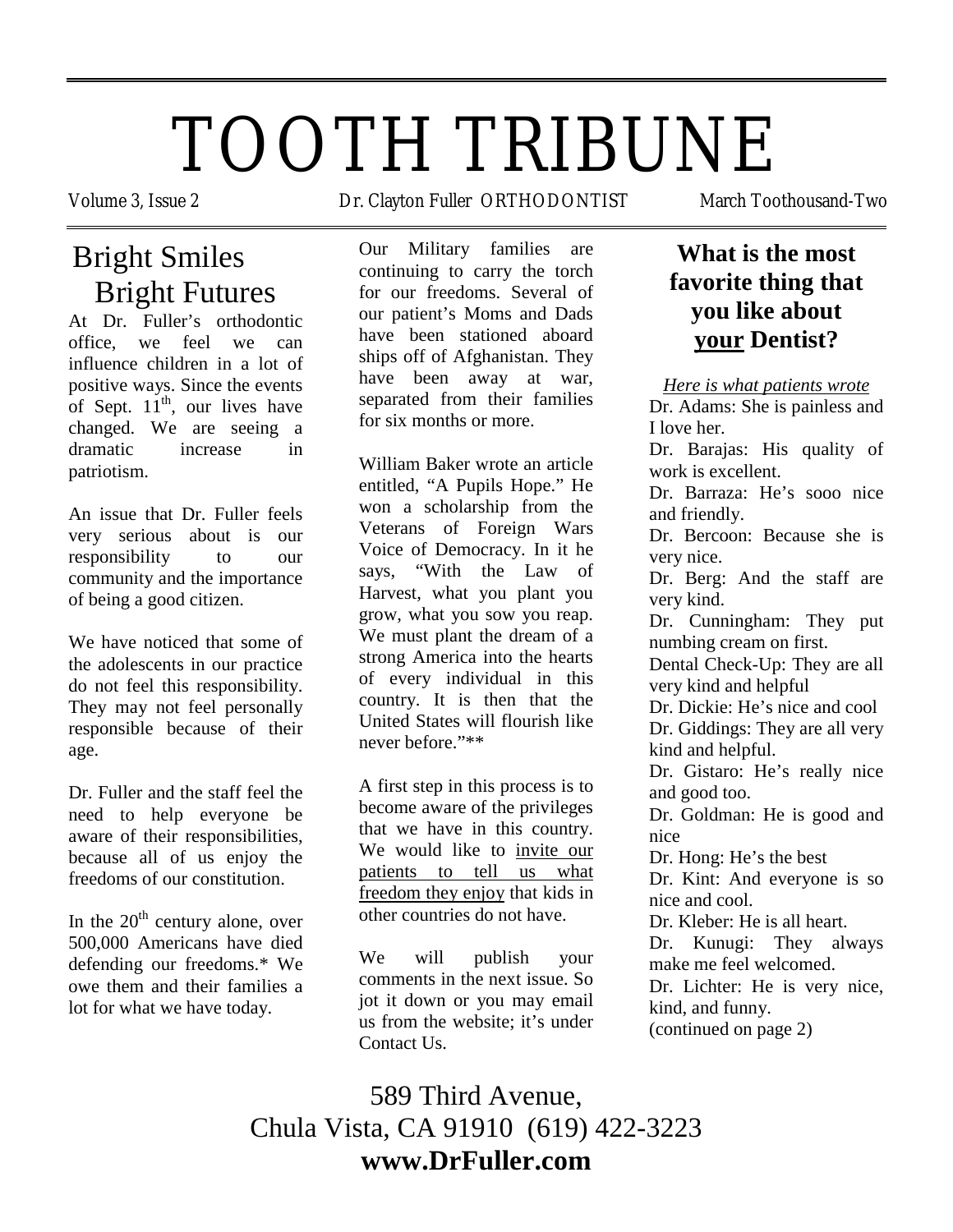# TOOTH TRIBUNE

## Bright Smiles Bright Futures

At Dr. Fuller's orthodontic office, we feel we can influence children in a lot of positive ways. Since the events of Sept.  $11<sup>th</sup>$ , our lives have changed. We are seeing a dramatic increase in patriotism.

An issue that Dr. Fuller feels very serious about is our responsibility to our community and the importance of being a good citizen.

We have noticed that some of the adolescents in our practice do not feel this responsibility. They may not feel personally responsible because of their age.

Dr. Fuller and the staff feel the need to help everyone be aware of their responsibilities, because all of us enjoy the freedoms of our constitution.

In the  $20<sup>th</sup>$  century alone, over 500,000 Americans have died defending our freedoms.\* We owe them and their families a lot for what we have today.

Volume 3, Issue 2 **Dr. Clayton Fuller ORTHODONTIST** March Toothousand-Two

Our Military families are continuing to carry the torch for our freedoms. Several of our patient's Moms and Dads have been stationed aboard ships off of Afghanistan. They have been away at war, separated from their families for six months or more.

William Baker wrote an article entitled, "A Pupils Hope." He won a scholarship from the Veterans of Foreign Wars Voice of Democracy. In it he says, "With the Law of Harvest, what you plant you grow, what you sow you reap. We must plant the dream of a strong America into the hearts of every individual in this country. It is then that the United States will flourish like never before."\*\*

A first step in this process is to become aware of the privileges that we have in this country. We would like to invite our patients to tell us what freedom they enjoy that kids in other countries do not have.

We will publish your comments in the next issue. So jot it down or you may email us from the website; it's under Contact Us.

## **What is the most favorite thing that you like about your Dentist?**

*Here is what patients wrote*

Dr. Adams: She is painless and I love her.

Dr. Barajas: His quality of work is excellent.

Dr. Barraza: He's sooo nice and friendly.

Dr. Bercoon: Because she is very nice.

Dr. Berg: And the staff are very kind.

Dr. Cunningham: They put numbing cream on first.

Dental Check-Up: They are all very kind and helpful

Dr. Dickie: He's nice and cool Dr. Giddings: They are all very kind and helpful.

Dr. Gistaro: He's really nice and good too.

Dr. Goldman: He is good and nice

Dr. Hong: He's the best

Dr. Kint: And everyone is so nice and cool.

Dr. Kleber: He is all heart.

Dr. Kunugi: They always make me feel welcomed.

Dr. Lichter: He is very nice, kind, and funny.

(continued on page 2)

589 Third Avenue, Chula Vista, CA 91910 (619) 422-3223 **www.DrFuller.com**